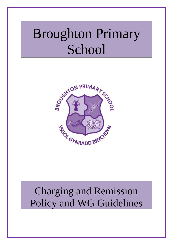# Broughton Primary School



# Charging and Remission Policy and WG Guidelines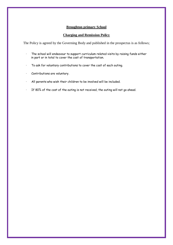#### **Broughton primary School**

#### **Charging and Remission Policy**

The Policy is agreed by the Governing Body and published in the prospectus is as follows;

- · The school will endeavour to support curriculum related visits by raising funds either in part or in total to cover the cost of transportation.
- · To ask for voluntary contributions to cover the cost of each outing.
- · Contributions are voluntary.
- · All parents who wish their children to be involved will be included.
- · If 80% of the cost of the outing is not received, the outing will not go ahead.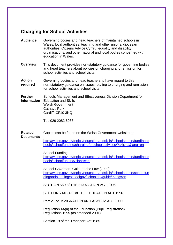# **Charging for School Activities**

- **Audience** Governing bodies and head teachers of maintained schools in Wales; local authorities; teaching and other unions, diocesan authorities, Citizens Advice Cymru, equality and disability organisations, and other national and local bodies concerned with education in Wales.
- **Overview** This document provides non-statutory guidance for governing bodies and head teachers about policies on charging and remission for school activities and school visits.
- **Action required** Governing bodies and head teachers to have regard to this non-statutory guidance on issues relating to charging and remission for school activities and school visits.
- **Further Information** Education and Skills Schools Management and Effectiveness Division Department for Welsh Government Cathays Park Cardiff CF10 3NQ

Tel: 029 2082 6088

**Related Documents** Copies can be found on the Welsh Government website at:

[http://wales.gov.uk/topics/educationandskills/schoolshome/fundingsc](http://wales.gov.uk/topics/educationandskills/schoolshome/fundingschools/schoolfunding/chargingforschoolactivities/?skip=1&lang=en) [hools/schoolfunding/chargingforschoolactivities/?skip=1&lang=en](http://wales.gov.uk/topics/educationandskills/schoolshome/fundingschools/schoolfunding/chargingforschoolactivities/?skip=1&lang=en)

School Funding [http://wales.gov.uk/topics/educationandskills/schoolshome/fundingsc](http://wales.gov.uk/topics/educationandskills/schoolshome/fundingschools/schoolfunding/?lang=en) [hools/schoolfunding/?lang=en](http://wales.gov.uk/topics/educationandskills/schoolshome/fundingschools/schoolfunding/?lang=en)

School Governors Guide to the Law (2009) [http://wales.gov.uk/topics/educationandskills/schoolshome/schoolfun](http://wales.gov.uk/topics/educationandskills/schoolshome/schoolfundingandplanning/schoolgov/schoolgovguide/?lang=en) [dingandplanning/schoolgov/schoolgovguide/?lang=en](http://wales.gov.uk/topics/educationandskills/schoolshome/schoolfundingandplanning/schoolgov/schoolgovguide/?lang=en)

SECTION 560 of THE EDUCATION ACT 1996

SECTIONS 449-462 of THE EDUCATION ACT 1996

Part V1 of IMMIGRATION AND ASYLUM ACT 1999

Regulation 4A(a) of the Education (Pupil Registration) Regulations 1995 (as amended 2001)

Section 19 of the Transport Act 1985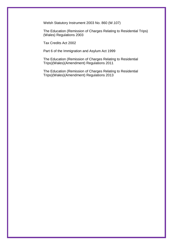Welsh Statutory Instrument 2003 No. 860 (W.107)

The Education (Remission of Charges Relating to Residential Trips) (Wales) Regulations 2003

Tax Credits Act 2002

Part 6 of the Immigration and Asylum Act 1999

The Education (Remission of Charges Relating to Residential Trips)(Wales)(Amendment) Regulations 2011

The Education (Remission of Charges Relating to Residential Trips)(Wales)(Amendment) Regulations 2013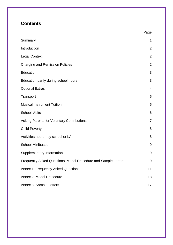# **Contents**

|                                                                | Page            |
|----------------------------------------------------------------|-----------------|
| Summary                                                        | $\mathbf 1$     |
| Introduction                                                   | $\overline{2}$  |
| <b>Legal Context</b>                                           | $\overline{2}$  |
| <b>Charging and Remission Policies</b>                         | $\overline{2}$  |
| Education                                                      | 3               |
| Education partly during school hours                           | 3               |
| <b>Optional Extras</b>                                         | $\overline{4}$  |
| Transport                                                      | 5               |
| <b>Musical Instrument Tuition</b>                              | 5               |
| <b>School Visits</b>                                           | $6\phantom{1}6$ |
| <b>Asking Parents for Voluntary Contributions</b>              | $\overline{7}$  |
| <b>Child Poverty</b>                                           | 8               |
| Activities not run by school or LA                             | 8               |
| <b>School Minibuses</b>                                        | $9\,$           |
| Supplementary Information                                      | $9\,$           |
| Frequently Asked Questions, Model Procedure and Sample Letters | 9               |
| Annex 1: Frequently Asked Questions                            | 11              |
| Annex 2: Model Procedure                                       | 13              |
| Annex 3: Sample Letters                                        | 17              |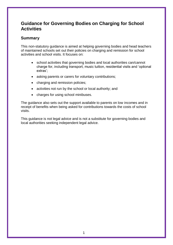# **Guidance for Governing Bodies on Charging for School Activities**

# **Summary**

This non-statutory guidance is aimed at helping governing bodies and head teachers of maintained schools set out their policies on charging and remission for school activities and school visits. It focuses on:

- school activities that governing bodies and local authorities can/cannot charge for, including transport, music tuition, residential visits and 'optional extras';
- asking parents or carers for voluntary contributions;
- charging and remission policies;
- activities not run by the school or local authority; and
- charges for using school minibuses.

The guidance also sets out the support available to parents on low incomes and in receipt of benefits when being asked for contributions towards the costs of school visits.

This guidance is not legal advice and is not a substitute for governing bodies and local authorities seeking independent legal advice.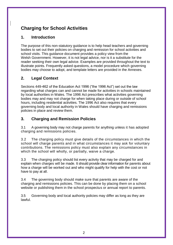# **Charging for School Activities**

# **1. Introduction**

The purpose of this non-statutory guidance is to help head teachers and governing bodies to set out their policies on charging and remission for school activities and school visits. This guidance document provides a policy view from the Welsh Government. However, it is not legal advice, nor is it a substitute for the reader seeking their own legal advice. Examples are provided throughout the text to illustrate points. Frequently asked questions, a model procedure which governing bodies may choose to adopt, and template letters are provided in the Annexes.

# **2. Legal Context**

Sections 449-462 of the Education Act 1996 ("the 1996 Act") set out the law regarding what charges can and cannot be made for activities in schools maintained by local authorities in Wales. The 1996 Act prescribes what activities governing bodies may and may not charge for when taking place during or outside of school hours, including residential activities. The 1996 Act also requires that every governing body and local authority in Wales should have charging and remissions policies in place and review them.

# **3. Charging and Remission Policies**

3.1 A governing body may not charge parents for anything unless it has adopted charging and remissions policies.

3.2 The charging policy must give details of the circumstances in which the school will charge parents and in what circumstances it may ask for voluntary contributions. The remissions policy must also explain any circumstances in which the school will wholly, or partially, waive a charge.

3.3 The charging policy should list every activity that may be charged for and explain when charges will be made. It should provide clear information for parents about how a charge will be worked out and who might qualify for help with the cost or not have to pay at all.

3.4 The governing body should make sure that parents are aware of the charging and remissions policies. This can be done by placing them on a school website or publishing them in the school prospectus or annual report to parents.

3.5 Governing body and local authority policies may differ as long as they are lawful.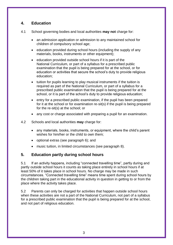# **4. Education**

- 4.1 School governing bodies and local authorities **may not** charge for:
	- an admission application or admission to any maintained school for children of compulsory school age;
	- education provided during school hours (including the supply of any materials, books, instruments or other equipment);
	- education provided outside school hours if it is part of the National Curriculum, or part of a syllabus for a prescribed public examination that the pupil is being prepared for at the school, or for education or activities that secure the school's duty to provide religious education;
	- tuition for pupils learning to play musical instruments if the tuition is required as part of the National Curriculum, or part of a syllabus for a prescribed public examination that the pupil is being prepared for at the school, or it is part of the school's duty to provide religious education;
	- entry for a prescribed public examination, if the pupil has been prepared for it at the school or for examination re-sit(s) if the pupil is being prepared for the re-sit(s) at the school; or
	- any cost or charge associated with preparing a pupil for an examination.
- 4.2 Schools and local authorities **may** charge for:
	- any materials, books, instruments, or equipment, where the child's parent wishes for him/her or the child to own them;
	- optional extras (see paragraph 6); and
	- music tuition, in limited circumstances (see paragraph 8).

# **5. Education partly during school hours**

5.1 If an activity happens, including "connected travelling time", partly during and partly outside school hours it counts as taking place entirely in school hours if at least 50% of it takes place in school hours. No charge may be made in such circumstances. "Connected travelling time" means time spent during school hours by the children taking part in the educational activity in question in getting to or from the place where the activity takes place.

5.2 Parents can only be charged for activities that happen outside school hours when these activities are not a part of the National Curriculum, not part of a syllabus for a prescribed public examination that the pupil is being prepared for at the school, and not part of religious education.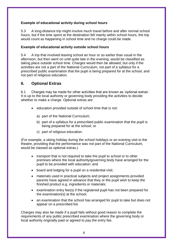# **Example of educational activity during school hours**

5.3 A long-distance trip might involve much travel before and after normal school hours, but if the time spent at the destination fell mainly within school hours, the trip would count as happening in school time and no charge could be made.

#### **Example of educational activity outside school hours**

5.4 A trip that involved leaving school an hour or so earlier than usual in the afternoon, but then went on until quite late in the evening, would be classified as taking place outside school time. Charges would then be allowed, but only if the activities are not a part of the National Curriculum, not part of a syllabus for a prescribed public examination that the pupil is being prepared for at the school, and not part of religious education.

# **6. Optional Extras**

6.1 Charges may be made for other activities that are known as 'optional extras'. It is up to the local authority or governing body providing the activities to decide whether to make a charge. Optional extras are:

- education provided outside of school time that is not:
	- a) part of the National Curriculum;
	- b) part of a syllabus for a prescribed public examination that the pupil is being prepared for at the school; or
	- c) part of religious education.

(For example, a skiing holiday during the school holidays or an evening visit to the theatre, providing that the performance was not part of the National Curriculum, would be classed as optional extras.)

- transport that is not required to take the pupil to school or to other premises where the local authority/governing body have arranged for the pupil to be provided with education; and
- board and lodging for a pupil on a residential visit;
- materials used in practical subjects and project assignments provided parents have agreed in advance that they or the pupil wish to keep the finished product e.g. ingredients or materials;
- examination entry fee(s) if the registered pupil has not been prepared for the examination(s) at the school;
- an examination that the school has arranged for pupil to take but does not appear on a prescribed list.

Charges may also be made if a pupil fails without good reason to complete the requirements of any public prescribed examination where the governing body or local authority originally paid or agreed to pay the entry fee.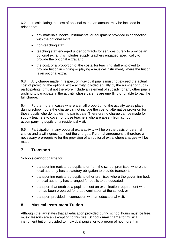6.2 In calculating the cost of optional extras an amount may be included in relation to:

- any materials, books, instruments, or equipment provided in connection with the optional extra:
- non-teaching staff;
- teaching staff engaged under contracts for services purely to provide an optional extra, this includes supply teachers engaged specifically to provide the optional extra; and
- the cost, or a proportion of the costs, for teaching staff employed to provide tuition in singing or playing a musical instrument, where the tuition is an optional extra.

6.3 Any charge made in respect of individual pupils must not exceed the actual cost of providing the optional extra activity, divided equally by the number of pupils participating. It must not therefore include an element of subsidy for any other pupils wishing to participate in the activity whose parents are unwilling or unable to pay the full charge.

6.4 Furthermore in cases where a small proportion of the activity takes place during school hours the charge cannot include the cost of alternative provision for those pupils who do not wish to participate. Therefore no charge can be made for supply teachers to cover for those teachers who are absent from school accompanying pupils on a residential visit.

6.5 Participation in any optional extra activity will be on the basis of parental choice and a willingness to meet the charges. Parental agreement is therefore a necessary pre-requisite for the provision of an optional extra where charges will be made.

# **7. Transport**

Schools **cannot** charge for:

- transporting registered pupils to or from the school premises, where the local authority has a statutory obligation to provide transport;
- transporting registered pupils to other premises where the governing body or local authority has arranged for pupils to be educated;
- transport that enables a pupil to meet an examination requirement when he has been prepared for that examination at the school; or
- transport provided in connection with an educational visit.

# **8. Musical Instrument Tuition**

Although the law states that all education provided during school hours must be free, music lessons are an exception to this rule. Schools **may** charge for musical instrument tuition provided to individual pupils, or to a group of not more than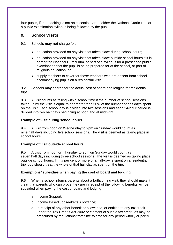four pupils, if the teaching is not an essential part of either the National Curriculum or a public examination syllabus being followed by the pupil.

# **9. School Visits**

- 9.1 Schools **may not** charge for:
	- education provided on any visit that takes place during school hours;
	- education provided on any visit that takes place outside school hours if it is part of the National Curriculum, or part of a syllabus for a prescribed public examination that the pupil is being prepared for at the school, or part of religious education; or
	- supply teachers to cover for those teachers who are absent from school accompanying pupils on a residential visit.

9.2 Schools **may** charge for the actual cost of board and lodging for residential trips.

9.3 A visit counts as falling within school time if the number of school sessions taken up by the visit is equal to or greater than 50% of the number of half days spent on the visit. Each school day is divided into two sessions and each 24-hour period is divided into two half days beginning at noon and at midnight.

# **Example of visit during school hours**

9.4 A visit from noon on Wednesday to 9pm on Sunday would count as nine half days including five school sessions. The visit is deemed as taking place in school hours.

# **Example of visit outside school hours**

9.5 A visit from noon on Thursday to 9pm on Sunday would count as seven half days including three school sessions. The visit is deemed as taking place outside school hours. If fifty per cent or more of a half-day is spent on a residential trip, you should treat the whole of that half-day as spent on the trip.

# **Exemptions/ subsidies when paying the cost of board and lodging**

9.6 When a school informs parents about a forthcoming visit, they should make it clear that parents who can prove they are in receipt of the following benefits will be subsided when paying the cost of board and lodging:

- a. Income Support;
- b. Income Based Jobseeker's Allowance;
- c. In receipt of any other benefit or allowance, or entitled to any tax credit under the Tax Credits Act 2002 or element of such a tax credit, as may be prescribed by regulations from time to time for any period wholly or partly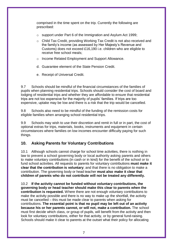comprised in the time spent on the trip. Currently the following are prescribed:

- o support under Part 6 of the Immigration and Asylum Act 1999;
- o Child Tax Credit, providing Working Tax Credit is not also received and the family's income (as assessed by Her Majesty's Revenue and Customs) does not exceed £16,190 i.e. children who are eligible to receive free school meals;
- o Income Related Employment and Support Allowance.
- d. Guarantee element of the State Pension Credit.
- e. Receipt of Universal Credit.

9.7 Schools should be mindful of the financial circumstances of the families of pupils when planning residential trips. Schools should consider the cost of board and lodging of residential trips and whether they are affordable to ensure that residential trips are not too expensive for the majority of pupils' families. If trips are too expensive, uptake may be low and there is a risk that the trip would be cancelled.

9.8 Schools also need to be mindful of the funding of the remission costs for eligible families when arranging school residential trips.

9.9 Schools may wish to use their discretion and remit in full or in part, the cost of optional extras for trips, materials, books, instruments and equipment in certain circumstances where families on low incomes encounter difficulty paying for such things.

# **10. Asking Parents for Voluntary Contributions**

10.1 Although schools cannot charge for school time activities, there is nothing in law to prevent a school governing body or local authority asking parents and others to make voluntary contributions (in cash or in kind) for the benefit of the school or to fund school activities. All requests to parents for voluntary contributions **must make it clear that the contribution is voluntary**; and that there is no obligation to make a contribution. The governing body or head teacher **must also make it clear that children of parents who do not contribute will not be treated any differently.**

10.2 **If the activity cannot be funded without voluntary contributions, the governing body or head teacher should make this clear to parents when the contribution is requested.** Where there are not enough voluntary contributions to make the activity possible and there is no way to make up the shortfall, the activity must be cancelled – this must be made clear to parents when asking for contributions. **The essential point is that no pupil may be left out of an activity because his or her parents cannot, or will not, make a contribution.** The school must first decide which class, or group of pupils, will benefit from the activity and then look for voluntary contributions, either for that activity, or by general fund-raising. Schools should make it clear to parents at the outset what their policy for allocating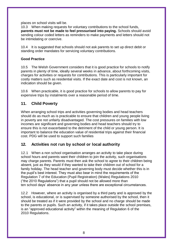places on school visits will be.

10.3 When making requests for voluntary contributions to the school funds, **parents must not be made to feel pressurised into paying.** Schools should avoid sending colour coded letters as reminders to make payments and letters should not be intimidating or coercive.

10.4 It is suggested that schools should not ask parents to set up direct debit or standing order mandates for servicing voluntary contributions.

#### **Good Practice**

10.5 The Welsh Government considers that it is good practice for schools to notify parents in plenty of time, ideally several weeks in advance, about forthcoming visits, charges for activities or requests for contributions. This is particularly important for costly matters such as residential visits. If the exact date and cost is not known, an indication should be given.

10.6 When practicable, it is good practice for schools to allow parents to pay for expensive trips by instalments over a reasonable period of time.

# **11. Child Poverty**

When arranging school trips and activities governing bodies and head teachers should do as much as is practicable to ensure that children and young people living in poverty are not unfairly disadvantaged. The cost pressures on families with low incomes are significant and governing bodies and head teachers should try to ensure this is not exacerbated to the detriment of the child or young person. It is important to balance the education value of residential trips against their financial cost. PDG will be used to support such families

# **12. Activities not run by school or local authority**

12.1 When a non school organisation arranges an activity to take place during school hours and parents want their children to join the activity, such organisations may charge parents. Parents must then ask the school to agree to their children being absent, just as they would if they wanted to take their children out of school for a family holiday. The head teacher and governing body must decide whether this is in the pupil's best interest. They must also bear in mind the requirements of the Regulation 7 of the Education (Pupil Registration) (Wales) Regulations 2010 ("the 2010 Regulations") that a pupil should not be allowed more than ten school days' absence in any year unless there are exceptional circumstances.

12.2 However, where an activity is organised by a third party and is approved by the school, is educational, or is supervised by someone authorised by the school, then it should be treated as if it were provided by the school and no charge should be made to the parents or pupils. Such an activity, if it takes place outside the school premises, is an "approved educational activity" within the meaning of Regulation 6 of the 2010 Regulations.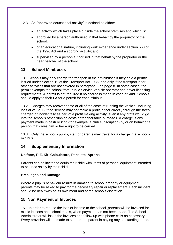12.3 An "approved educational activity" is defined as either:

- an activity which takes place outside the school premises and which is:
- approved by a person authorised in that behalf by the proprietor of the school;
- of an educational nature, including work experience under section 560 of the 1996 Act and a sporting activity; and
- supervised by a person authorised in that behalf by the proprietor or the head teacher of the school.

# **13. School Minibuses**

13.1 Schools may only charge for transport in their minibuses if they hold a permit issued under Section 19 of the Transport Act 1985, and only if the transport is for other activities that are not covered in paragraph 6 on page 8. In some cases, the permit exempts the school from Public Service Vehicle operator and driver licensing requirements. A permit is not required if no charge is made in cash or kind. Schools should apply to their LA for a permit for each minibus.

13.2 Charges may recover some or all of the costs of running the vehicle, including loss of value. But the service may not make a profit, either directly through the fares charged or incidentally as part of a profit making activity, even if any profit would go into the school's other running costs or for charitable purposes. A charge is any payment made in cash or kind (for example, a club subscription) by or on behalf of a person that gives him or her a right to be carried.

13.3 Only the school's pupils, staff or parents may travel for a charge in a school's minibus.

# **14. Supplementary Information**

# **Uniform, P.E. Kit, Calculators, Pens etc. Aprons**

Parents can be invited to equip their child with items of personal equipment intended to be used solely by their child.

# **Breakages and Damage**

Where a pupil's behaviour results in damage to school property or equipment, parents may be asked to pay for the necessary repair or replacement. Each incident should be dealt with on its own merit and at the schools discretion.

# **15. Non Payment of Invoices**

15.1 In order to reduce the loss of income to the school ,parents will be invoiced for music lessons and school meals, when payment has not been made. The School Administrator will issue the invoices and follow up with phone calls as necessary. Every provision will be made to support the parent in paying any outstanding debts.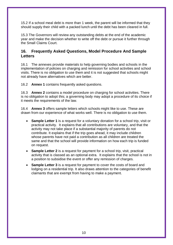15.2 If a school meal debt is more than 1 week, the parent will be informed that they should supply their child with a packed lunch until the debt has been cleared in full.

15.3 The Governors will review any outstanding debts at the end of the academic year and make the decision whether to write off the debt or pursue it further through the Small Claims Court.

# **16. Frequently Asked Questions, Model Procedure And Sample Letters**

16.1 The annexes provide materials to help governing bodies and schools in the implementation of policies on charging and remission for school activities and school visits. There is no obligation to use them and it is not suggested that schools might not already have alternatives which are better.

16.2 **Annex 1** contains frequently asked questions.

16.3 **Annex 2** contains a model procedure on charging for school activities. There is no obligation to adopt this; a governing body may adopt a procedure of its choice if it meets the requirements of the law.

16.4 **Annex 3** offers sample letters which schools might like to use. These are drawn from our experience of what works well. There is no obligation to use them.

- **Sample Letter 1** is a request for a voluntary donation for a school trip, visit or practical activity. It explains that all contributions are voluntary, and that the activity may not take place if a substantial majority of parents do not contribute. It explains that if the trip goes ahead, it may include children whose parents have not paid a contribution as all children are treated the same and that the school will provide information on how each trip is funded on request.
- **Sample Letter 2** is a request for payment for a school trip, visit, practical activity that is classed as an optional extra. It explains that the school is not in a position to subsidise the event or offer any remission of charges.
- **Sample Letter 3** is a request for payment to cover the costs of board and lodging on a residential trip. It also draws attention to the categories of benefit claimants that are exempt from having to make a payment.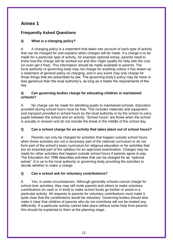# **Annex 1**

# **Frequently Asked Questions**

# **Q What is a charging policy?**

A A charging policy is a statement that takes into account of each type of activity that can be charged for and explains when charges will be made. If a charge is to be made for a particular type of activity, for example optional extras, parents need to know how the charge will be worked out and who might qualify for help with the cost (or even get it free). This information should be made available to parents. The local authority or governing body may not charge for anything unless it has drawn up a statement of general policy on charging, and in any event may only charge for those things that are prescribed by law. The governing body's policy may be more or less generous than the local authority's, as long as it meets the requirements of the law.

#### **Q Can governing bodies charge for educating children in maintained schools?**

A No charge can be made for admitting pupils to maintained schools. Education provided during school hours must be free. This includes materials and equipment, and transport provided in school hours by the local authority or by the school to carry pupils between the school and an activity. "School hours" are those when the school is actually in session and do not include the break in the middle of the school day.

# **Q Can a school charge for an activity that takes place out of school hours?**

A Parents can only be charged for activities that happen outside school hours when these activities are not a necessary part of the national curriculum or do not form part of the school's basic curriculum for religious education or for activities that are an essential part of the syllabus for an approved examination. Charges may be made for other activities that happen outside school hours if parents agree to pay. The Education Act 1996 describes activities that can be charged for as "optional extras". It is up to the local authority or governing body providing the activities to decide whether to make a charge.

# **Q Can a school ask for voluntary contributions?**

A Yes, in some circumstances. Although generally schools cannot charge for school-time activities, they may still invite parents and others to make voluntary contributions (in cash or in kind) to make school funds go further or assist in a particular activity. All requests to parents for voluntary contributions must make it quite clear that the contributions would be voluntary. Governing bodies should also make it clear that children of parents who do not contribute will not be treated any differently. If a particular activity cannot take place without some help from parents this should be explained to them at the planning stage.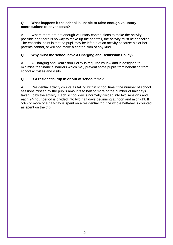# **Q What happens if the school is unable to raise enough voluntary contributions to cover costs?**

A Where there are not enough voluntary contributions to make the activity possible and there is no way to make up the shortfall, the activity must be cancelled. The essential point is that no pupil may be left out of an activity because his or her parents cannot, or will not, make a contribution of any kind.

# **Q Why must the school have a Charging and Remission Policy?**

A A Charging and Remission Policy is required by law and is designed to minimise the financial barriers which may prevent some pupils from benefiting from school activities and visits.

# **Q Is a residential trip in or out of school time?**

A Residential activity counts as falling within school time if the number of school sessions missed by the pupils amounts to half or more of the number of half days taken up by the activity. Each school day is normally divided into two sessions and each 24-hour period is divided into two half days beginning at noon and midnight. If 50% or more of a half-day is spent on a residential trip, the whole half-day is counted as spent on the trip.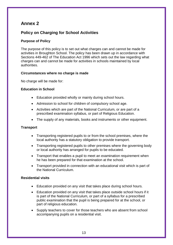# **Annex 2**

# **Policy on Charging for School Activities**

# **Purpose of Policy**

The purpose of this policy is to set out what charges can and cannot be made for activities in Broughton School. The policy has been drawn up in accordance with Sections 449-462 of The Education Act 1996 which sets out the law regarding what charges can and cannot be made for activities in schools maintained by local authorities.

#### **Circumstances where no charge is made**

No charge will be made for:

# **Education in School**

- Education provided wholly or mainly during school hours.
- Admission to school for children of compulsory school age.
- Activities which are part of the National Curriculum, or are part of a prescribed examination syllabus, or part of Religious Education.
- The supply of any materials, books and instruments or other equipment.

# **Transport**

- Transporting registered pupils to or from the school premises, where the local authority has a statutory obligation to provide transport.
- Transporting registered pupils to other premises where the governing body or local authority has arranged for pupils to be educated.
- Transport that enables a pupil to meet an examination requirement when he has been prepared for that examination at the school.
- Transport provided in connection with an educational visit which is part of the National Curriculum.

#### **Residential visits**

- Education provided on any visit that takes place during school hours.
- Education provided on any visit that takes place outside school hours if it is part of the National Curriculum, or part of a syllabus for a prescribed public examination that the pupil is being prepared for at the school, or part of religious education.
- Supply teachers to cover for those teachers who are absent from school accompanying pupils on a residential visit.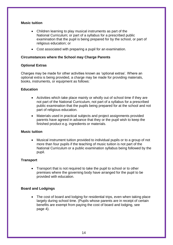#### **Music tuition**

- Children learning to play musical instruments as part of the National Curriculum; or part of a syllabus for a prescribed public examination that the pupil is being prepared for by the school, or part of religious education; or
- Cost associated with preparing a pupil for an examination.

#### **Circumstances where the School may Charge Parents**

#### **Optional Extras**

Charges may be made for other activities known as 'optional extras'. Where an optional extra is being provided, a charge may be made for providing materials, books, instruments, or equipment as follows:

#### **Education**

- Activities which take place mainly or wholly out of school time if they are not part of the National Curriculum, not part of a syllabus for a prescribed public examination that the pupils being prepared for at the school and not part of religious education.
- Materials used in practical subjects and project assignments provided parents have agreed in advance that they or the pupil wish to keep the finished product e.g. ingredients or materials.

#### **Music tuition**

 Musical instrument tuition provided to individual pupils or to a group of not more than four pupils if the teaching of music tuition is not part of the National Curriculum or a public examination syllabus being followed by the pupil.

#### **Transport**

• Transport that is not required to take the pupil to school or to other premises where the governing body have arranged for the pupil to be provided with education.

#### **Board and Lodgings**

 The cost of board and lodging for residential trips, even when taking place largely during school time. (Pupils whose parents are in receipt of certain benefits are exempt from paying the cost of board and lodging, see page 4).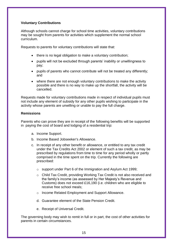#### **Voluntary Contributions**

Although schools cannot charge for school time activities, voluntary contributions may be sought from parents for activities which supplement the normal school curriculum.

Requests to parents for voluntary contributions will state that:

- there is no legal obligation to make a voluntary contribution;
- pupils will not be excluded through parents' inability or unwillingness to pay;
- pupils of parents who cannot contribute will not be treated any differently; and
- where there are not enough voluntary contributions to make the activity possible and there is no way to make up the shortfall, the activity will be cancelled.

Requests made for voluntary contributions made in respect of individual pupils must not include any element of subsidy for any other pupils wishing to participate in the activity whose parents are unwilling or unable to pay the full charge.

#### **Remissions**

Parents who can prove they are in receipt of the following benefits will be supported in paying the cost of board and lodging of a residential trip:

- a. Income Support.
- b. Income Based Jobseeker's Allowance.
- c. In receipt of any other benefit or allowance, or entitled to any tax credit under the Tax Credits Act 2002 or element of such a tax credit, as may be prescribed by regulations from time to time for any period wholly or partly comprised in the time spent on the trip. Currently the following are prescribed:
	- o support under Part 6 of the Immigration and Asylum Act 1999;
	- o Child Tax Credit, providing Working Tax Credit is not also received and the family's income (as assessed by Her Majesty's Revenue and Customs) does not exceed £16,190 (i.e. children who are eligible to receive free school meals;
	- o Income Related Employment and Support Allowance.
	- d. Guarantee element of the State Pension Credit.
	- e. Receipt of Universal Credit.

The governing body may wish to remit in full or in part, the cost of other activities for parents in certain circumstances.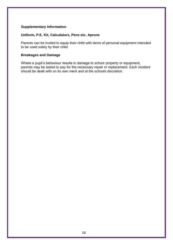#### **Supplementary Information**

# **Uniform, P.E. Kit, Calculators, Pens etc. Aprons**

Parents can be invited to equip their child with items of personal equipment intended to be used solely by their child.

#### **Breakages and Damage**

Where a pupil's behaviour results in damage to school property or equipment, parents may be asked to pay for the necessary repair or replacement. Each incident should be dealt with on its own merit and at the schools discretion.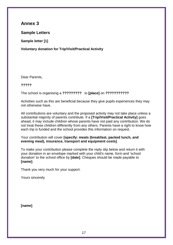# **Annex 3**

# **Sample Letters**

**Sample letter [1]**

**Voluntary donation for Trip/Visit/Practical Activity**

Dear Parents,

**?????**

The school is organising a **?????????** to **[place]** on **???????????**

Activities such as this are beneficial because they give pupils experiences they may not otherwise have.

All contributions are voluntary and the proposed activity may not take place unless a substantial majority of parents contribute. If a **[Trip/Visit/Practical Activity]** goes ahead, it may include children whose parents have not paid any contribution. We do not treat these children differently from any others. Parents have a right to know how each trip is funded and the school provides this information on request.

Your contribution will cover **[specify: meals (breakfast, packed lunch, and evening meal), insurance, transport and equipment costs]**.

To make your contribution please complete the reply slip below and return it with your donation in an envelope marked with your child's name, form and 'school donation' to the school office by **[date]**. Cheques should be made payable to **[name]**.

Thank you very much for your support.

Yours sincerely

**[name]**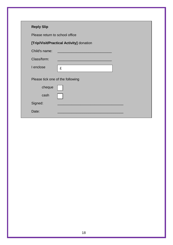| <b>Reply Slip</b>                |                                          |
|----------------------------------|------------------------------------------|
| Please return to school office   |                                          |
|                                  | [Trip/Visit/Practical Activity] donation |
| Child's name:                    |                                          |
| Class/form:                      |                                          |
| I enclose                        | £                                        |
| Please tick one of the following |                                          |
| cheque                           |                                          |
| cash                             |                                          |
| Signed:                          |                                          |
| Date:                            |                                          |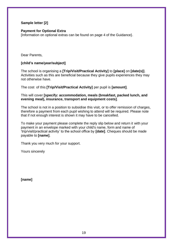# **Sample letter [2]**

#### **Payment for Optional Extra**

[Information on optional extras can be found on page 4 of the Guidance}.

Dear Parents,

# **[child's name/year/subject]**

The school is organising a **[Trip/Visit/Practical Activity]** to **[place]** on **[date(s)]**. Activities such as this are beneficial because they give pupils experiences they may not otherwise have.

The cost of this **[Trip/Visit/Practical Activity]** per pupil is **[amount]**.

#### This will cover **[specify: accommodation, meals (breakfast, packed lunch, and evening meal), insurance, transport and equipment costs]**.

The school is not in a position to subsidise this visit, or to offer remission of charges, therefore a payment from each pupil wishing to attend will be required. Please note that if not enough interest is shown it may have to be cancelled.

To make your payment please complete the reply slip below and return it with your payment in an envelope marked with your child's name, form and name of 'trip/visit/practical activity' to the school office by **[date]**. Cheques should be made payable to **[name]**.

Thank you very much for your support.

Yours sincerely

**[name]**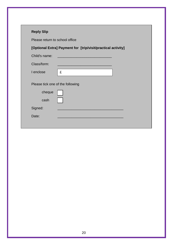| <b>Reply Slip</b>              |                                                                                                                     |
|--------------------------------|---------------------------------------------------------------------------------------------------------------------|
| Please return to school office |                                                                                                                     |
|                                | [Optional Extra] Payment for [trip/visit/practical activity]                                                        |
| Child's name:                  | <u> 1989 - Johann Barn, mars eta bainar eta hiri eta hiri eta hiri eta hiri eta hiri eta hiri eta hiri eta hiri</u> |
| Class/form:                    |                                                                                                                     |
| I enclose                      | £                                                                                                                   |
|                                | Please tick one of the following                                                                                    |
| cheque                         |                                                                                                                     |
| cash                           |                                                                                                                     |
| Signed:                        |                                                                                                                     |
| Date:                          |                                                                                                                     |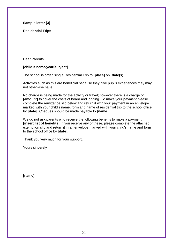**Sample letter [3]**

**Residential Trips**

Dear Parents,

#### **[child's name/year/subject]**

The school is organising a Residential Trip to **[place]** on **[date(s)]**.

Activities such as this are beneficial because they give pupils experiences they may not otherwise have.

No charge is being made for the activity or travel; however there is a charge of **[amount]** to cover the costs of board and lodging. To make your payment please complete the remittance slip below and return it with your payment in an envelope marked with your child's name, form and name of residential trip to the school office by **[date]**. Cheques should be made payable to **[name]**.

We do not ask parents who receive the following benefits to make a payment **[insert list of benefits]**. If you receive any of these, please complete the attached exemption slip and return it in an envelope marked with your child's name and form to the school office by **[date]**.

Thank you very much for your support.

Yours sincerely

**[name]**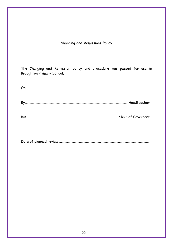# **Charging and Remissions Policy**

The Charging and Remission policy and procedure was passed for use in Broughton Primary School.